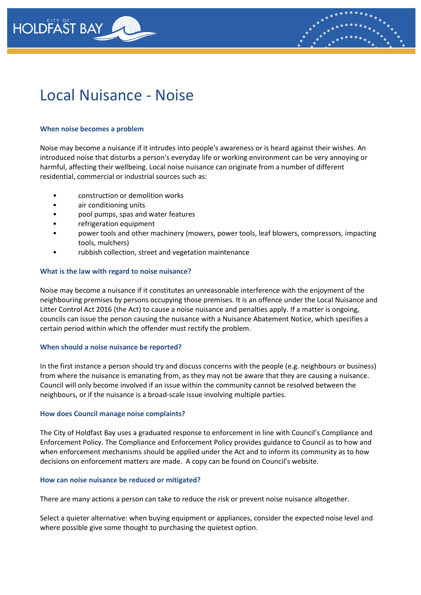

# Local Nuisance - Noise

## **When noise becomes a problem**

Noise may become a nuisance if it intrudes into people's awareness or is heard against their wishes. An introduced noise that disturbs a person's everyday life or working environment can be very annoying or harmful, affecting their wellbeing. Local noise nuisance can originate from a number of different residential, commercial or industrial sources such as:

- construction or demolition works
- air conditioning units
- pool pumps, spas and water features
- refrigeration equipment
- power tools and other machinery (mowers, power tools, leaf blowers, compressors, impacting tools, mulchers)
- rubbish collection, street and vegetation maintenance

## **What is the law with regard to noise nuisance?**

Noise may become a nuisance if it constitutes an unreasonable interference with the enjoyment of the neighbouring premises by persons occupying those premises. It is an offence under the Local Nuisance and Litter Control Act 2016 (the Act) to cause a noise nuisance and penalties apply. If a matter is ongoing, councils can issue the person causing the nuisance with a Nuisance Abatement Notice, which specifies a certain period within which the offender must rectify the problem.

#### **When should a noise nuisance be reported?**

In the first instance a person should try and discuss concerns with the people (e.g. neighbours or business) from where the nuisance is emanating from, as they may not be aware that they are causing a nuisance. Council will only become involved if an issue within the community cannot be resolved between the neighbours, or if the nuisance is a broad-scale issue involving multiple parties.

#### **How does Council manage noise complaints?**

The City of Holdfast Bay uses a graduated response to enforcement in line with Council's Compliance and Enforcement Policy. The Compliance and Enforcement Policy provides guidance to Council as to how and when enforcement mechanisms should be applied under the Act and to inform its community as to how decisions on enforcement matters are made. A copy can be found on Council's website.

#### **How can noise nuisance be reduced or mitigated?**

There are many actions a person can take to reduce the risk or prevent noise nuisance altogether.

Select a quieter alternative: when buying equipment or appliances, consider the expected noise level and where possible give some thought to purchasing the quietest option.